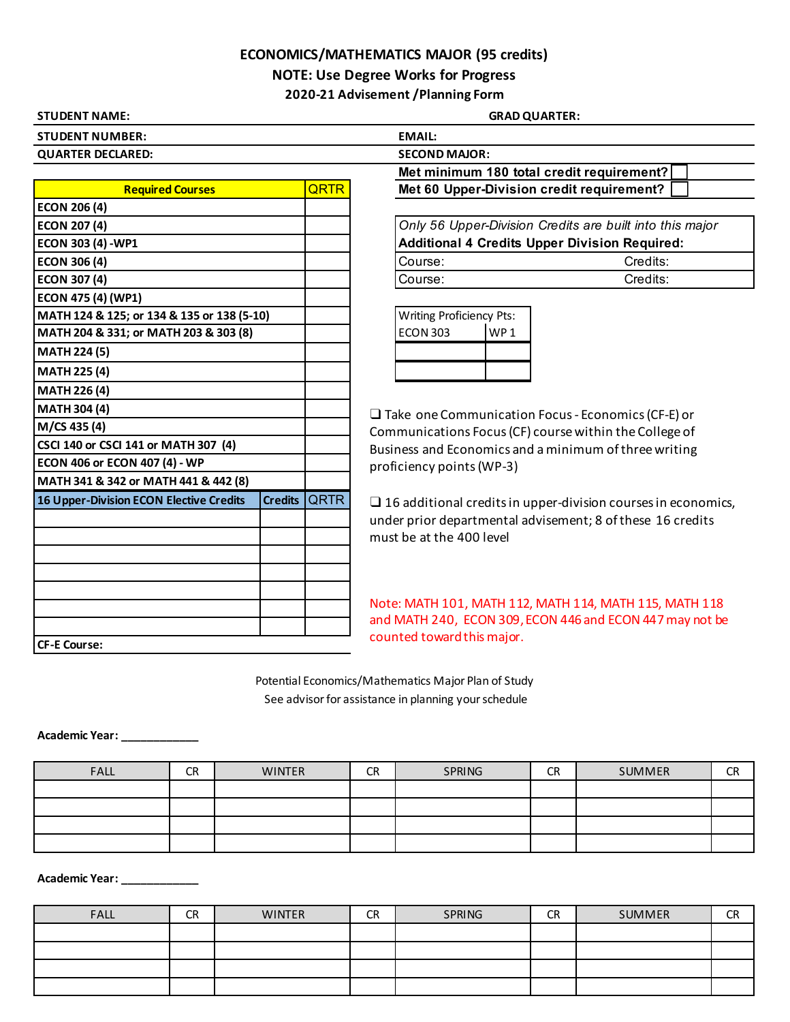## **ECONOMICS/MATHEMATICS MAJOR (95 credits)**

**NOTE: Use Degree Works for Progress**

**2020-21 Advisement /Planning Form**

| <b>STUDENT NAME:</b>     |                      |
|--------------------------|----------------------|
| <b>STUDENT NUMBER:</b>   | <b>EMAIL:</b>        |
| <b>QUARTER DECLARED:</b> | <b>SECOND MAJOR:</b> |
|                          | Met minimum 1        |

| <b>Required Courses</b>                        |                |      |  |  |
|------------------------------------------------|----------------|------|--|--|
| <b>ECON 206 (4)</b>                            |                |      |  |  |
| <b>ECON 207 (4)</b>                            |                |      |  |  |
| ECON 303 (4) - WP1                             |                |      |  |  |
| <b>ECON 306 (4)</b>                            |                |      |  |  |
| <b>ECON 307 (4)</b>                            |                |      |  |  |
| ECON 475 (4) (WP1)                             |                |      |  |  |
| MATH 124 & 125; or 134 & 135 or 138 (5-10)     |                |      |  |  |
| MATH 204 & 331; or MATH 203 & 303 (8)          |                |      |  |  |
| <b>MATH 224 (5)</b>                            |                |      |  |  |
| <b>MATH 225 (4)</b>                            |                |      |  |  |
| <b>MATH 226 (4)</b>                            |                |      |  |  |
| <b>MATH 304 (4)</b>                            |                |      |  |  |
| M/CS 435 (4)                                   |                |      |  |  |
| CSCI 140 or CSCI 141 or MATH 307 (4)           |                |      |  |  |
| ECON 406 or ECON 407 (4) - WP                  |                |      |  |  |
| MATH 341 & 342 or MATH 441 & 442 (8)           |                |      |  |  |
| <b>16 Upper-Division ECON Elective Credits</b> | <b>Credits</b> | QRTR |  |  |
|                                                |                |      |  |  |
|                                                |                |      |  |  |
|                                                |                |      |  |  |
|                                                |                |      |  |  |
|                                                |                |      |  |  |
|                                                |                |      |  |  |
|                                                |                |      |  |  |
| <b>CF-E Course:</b>                            |                |      |  |  |

**GRAD QUARTER:** 

|      | EMAIL:                                                   |
|------|----------------------------------------------------------|
|      | <b>SECOND MAJOR:</b>                                     |
|      | Met minimum 180 total credit requirement?                |
| QRTR | Met 60 Upper-Division credit requirement?                |
|      |                                                          |
|      | Only 56 Upper-Division Credits are built into this major |

|         | Additional 4 Credits Upper Division Required: |
|---------|-----------------------------------------------|
| Course: | Credits:                                      |
| Course: | Credits:                                      |

| <b>Writing Proficiency Pts:</b> |      |  |  |  |
|---------------------------------|------|--|--|--|
| <b>ECON 303</b>                 | WP 1 |  |  |  |
|                                 |      |  |  |  |
|                                 |      |  |  |  |

❑ Take one Communication Focus - Economics (CF-E) or Communications Focus (CF) course within the College of Business and Economics and a minimum of three writing proficiency points (WP-3)

 $\square$  16 additional credits in upper-division courses in economics, under prior departmental advisement; 8 of these 16 credits must be at the 400 level

Note: MATH 101, MATH 112, MATH 114, MATH 115, MATH 118 and MATH 240, ECON 309, ECON 446 and ECON 447 may not be counted toward this major.

 See advisor for assistance in planning your schedule Potential Economics/Mathematics Major Plan of Study

**Academic Year: \_\_\_\_\_\_\_\_\_\_\_\_**

| <b>FALL</b> | <b>CR</b> | <b>WINTER</b> | CR | SPRING | <b>CR</b> | <b>SUMMER</b> | <b>CR</b> |
|-------------|-----------|---------------|----|--------|-----------|---------------|-----------|
|             |           |               |    |        |           |               |           |
|             |           |               |    |        |           |               |           |
|             |           |               |    |        |           |               |           |
|             |           |               |    |        |           |               |           |

**Academic Year: \_\_\_\_\_\_\_\_\_\_\_\_**

| <b>FALL</b> | <b>CR</b> | <b>WINTER</b> | <b>CR</b> | SPRING | <b>CR</b> | SUMMER | <b>CR</b> |
|-------------|-----------|---------------|-----------|--------|-----------|--------|-----------|
|             |           |               |           |        |           |        |           |
|             |           |               |           |        |           |        |           |
|             |           |               |           |        |           |        |           |
|             |           |               |           |        |           |        |           |